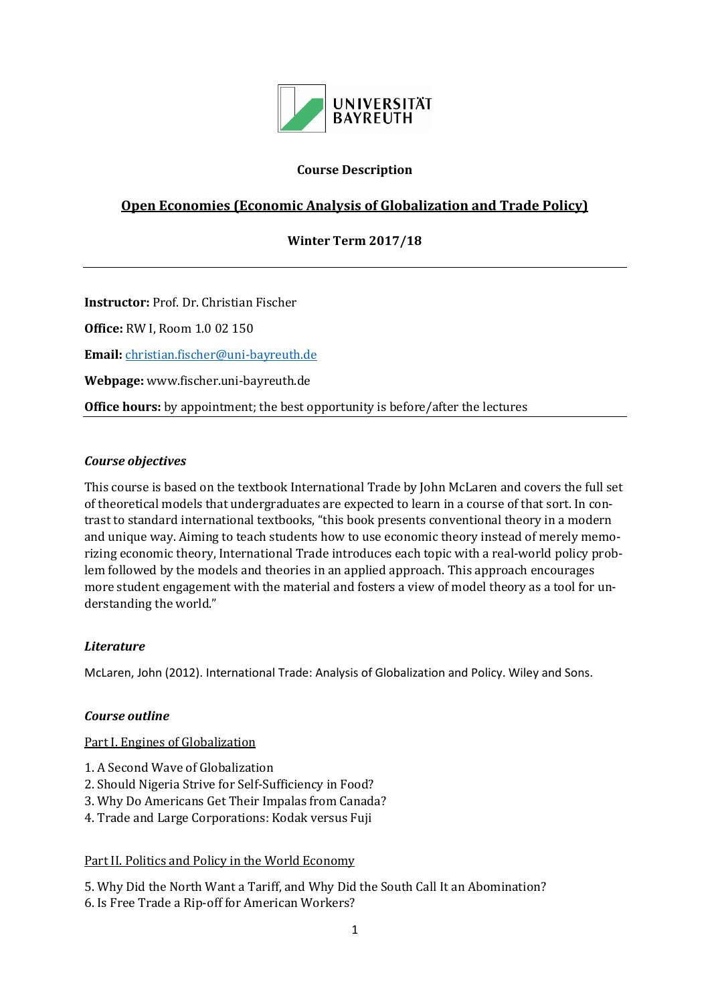

### **Course Description**

# **Open Economies (Economic Analysis of Globalization and Trade Policy)**

#### **Winter Term 2017/18**

**Instructor:** Prof. Dr. Christian Fischer

**Office:** RW I, Room 1.0 02 150

**Email:** [christian.fischer@uni-bayreuth.de](mailto:christian.fischer@uni-bayreuth.de)

**Webpage:** www.fischer.uni-bayreuth.de

**Office hours:** by appointment; the best opportunity is before/after the lectures

#### *Course objectives*

This course is based on the textbook International Trade by John McLaren and covers the full set of theoretical models that undergraduates are expected to learn in a course of that sort. In contrast to standard international textbooks, "this book presents conventional theory in a modern and unique way. Aiming to teach students how to use economic theory instead of merely memorizing economic theory, International Trade introduces each topic with a real-world policy problem followed by the models and theories in an applied approach. This approach encourages more student engagement with the material and fosters a view of model theory as a tool for understanding the world."

#### *Literature*

McLaren, John (2012). International Trade: Analysis of Globalization and Policy. Wiley and Sons.

#### *Course outline*

#### Part I. Engines of Globalization

- 1. A Second Wave of Globalization
- 2. Should Nigeria Strive for Self-Sufficiency in Food?
- 3. Why Do Americans Get Their Impalas from Canada?
- 4. Trade and Large Corporations: Kodak versus Fuji

#### Part II. Politics and Policy in the World Economy

5. Why Did the North Want a Tariff, and Why Did the South Call It an Abomination? 6. Is Free Trade a Rip-off for American Workers?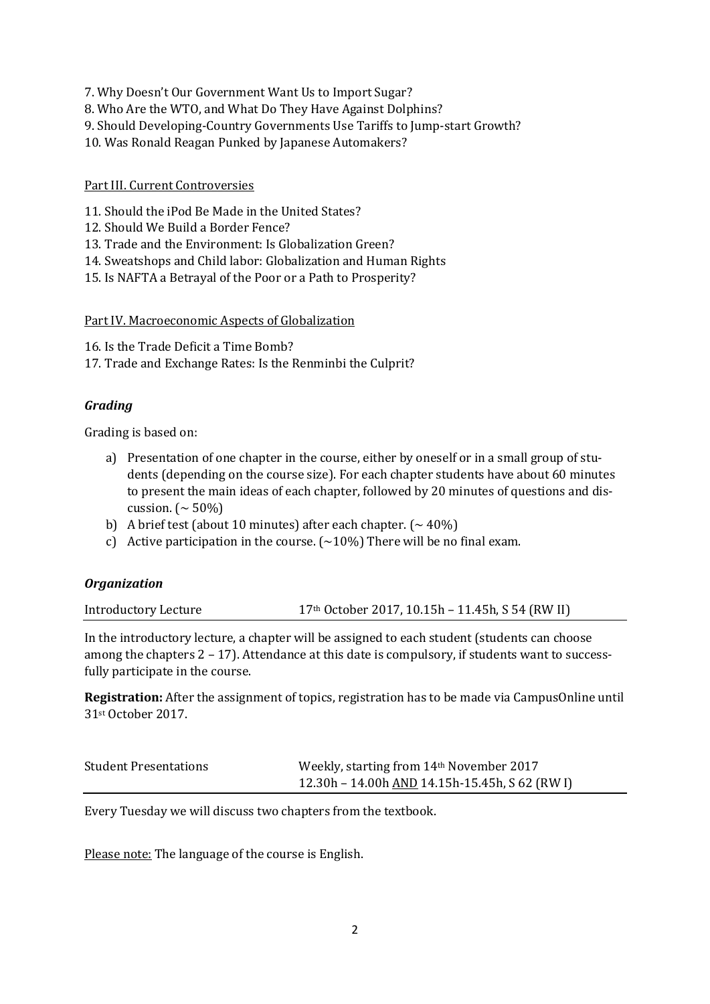- 7. Why Doesn't Our Government Want Us to Import Sugar?
- 8. Who Are the WTO, and What Do They Have Against Dolphins?
- 9. Should Developing-Country Governments Use Tariffs to Jump-start Growth?
- 10. Was Ronald Reagan Punked by Japanese Automakers?

## Part III. Current Controversies

- 11. Should the iPod Be Made in the United States?
- 12. Should We Build a Border Fence?
- 13. Trade and the Environment: Is Globalization Green?
- 14. Sweatshops and Child labor: Globalization and Human Rights
- 15. Is NAFTA a Betrayal of the Poor or a Path to Prosperity?

Part IV. Macroeconomic Aspects of Globalization

16. Is the Trade Deficit a Time Bomb?

17. Trade and Exchange Rates: Is the Renminbi the Culprit?

### *Grading*

Grading is based on:

- a) Presentation of one chapter in the course, either by oneself or in a small group of students (depending on the course size). For each chapter students have about 60 minutes to present the main ideas of each chapter, followed by 20 minutes of questions and discussion.  $($  ~ 50%)
- b) A brief test (about 10 minutes) after each chapter.  $(\sim 40\%)$
- c) Active participation in the course.  $(\sim 10\%)$  There will be no final exam.

#### *Organization*

Introductory Lecture 17th October 2017, 10.15h – 11.45h, S 54 (RW II)

In the introductory lecture, a chapter will be assigned to each student (students can choose among the chapters 2 – 17). Attendance at this date is compulsory, if students want to successfully participate in the course.

**Registration:** After the assignment of topics, registration has to be made via CampusOnline until 31st October 2017.

| <b>Student Presentations</b> | Weekly, starting from 14th November 2017                    |
|------------------------------|-------------------------------------------------------------|
|                              | 12.30h – 14.00h $\overline{AND}$ 14.15h-15.45h, S 62 (RW I) |

Every Tuesday we will discuss two chapters from the textbook.

Please note: The language of the course is English.